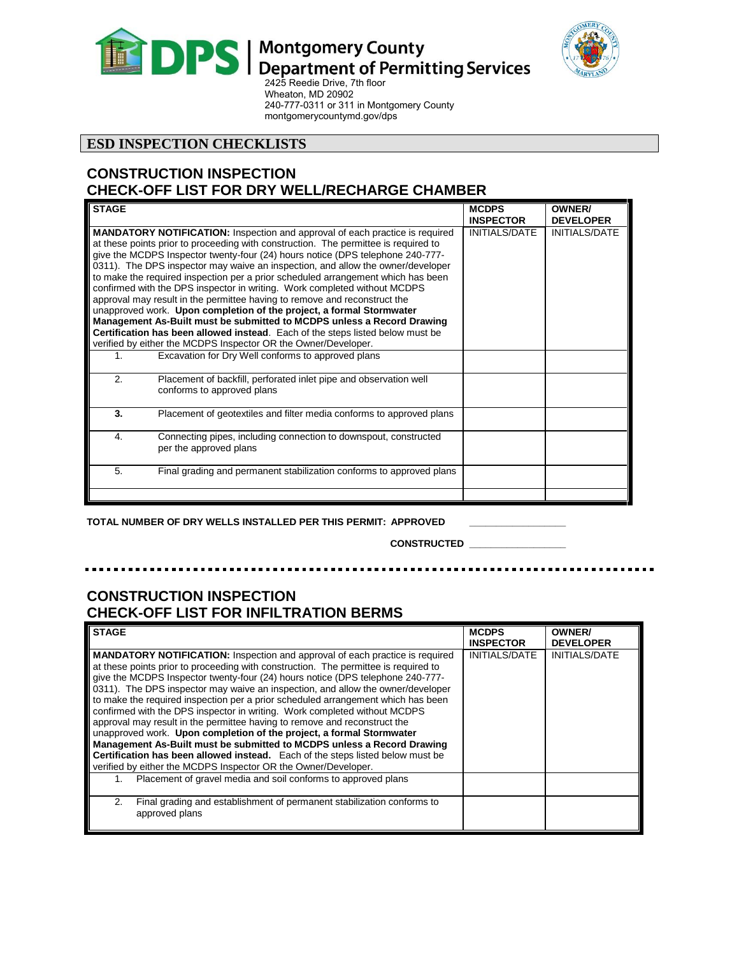



. .  $\mathbf{a}$ 

Wheaton, MD 20902 240-777-0311 or 311 in Montgomery County [montgomerycountymd.gov/dps](http://www.montgomerycountymd.gov/permittingservices)

### **ESD INSPECTION CHECKLISTS**

## **CONSTRUCTION INSPECTION CHECK-OFF LIST FOR DRY WELL/RECHARGE CHAMBER**

| <b>STAGE</b> |                                                                                                                                                                                                                                                                                                                                                                                                                                                                                                                                                                                                                                                                                                                                                                                                                                                                                                     | <b>MCDPS</b><br><b>INSPECTOR</b> | <b>OWNER/</b><br><b>DEVELOPER</b> |
|--------------|-----------------------------------------------------------------------------------------------------------------------------------------------------------------------------------------------------------------------------------------------------------------------------------------------------------------------------------------------------------------------------------------------------------------------------------------------------------------------------------------------------------------------------------------------------------------------------------------------------------------------------------------------------------------------------------------------------------------------------------------------------------------------------------------------------------------------------------------------------------------------------------------------------|----------------------------------|-----------------------------------|
|              | <b>MANDATORY NOTIFICATION:</b> Inspection and approval of each practice is required<br>at these points prior to proceeding with construction. The permittee is required to<br>give the MCDPS Inspector twenty-four (24) hours notice (DPS telephone 240-777-<br>0311). The DPS inspector may waive an inspection, and allow the owner/developer<br>to make the required inspection per a prior scheduled arrangement which has been<br>confirmed with the DPS inspector in writing. Work completed without MCDPS<br>approval may result in the permittee having to remove and reconstruct the<br>unapproved work. Upon completion of the project, a formal Stormwater<br>Management As-Built must be submitted to MCDPS unless a Record Drawing<br>Certification has been allowed instead. Each of the steps listed below must be<br>verified by either the MCDPS Inspector OR the Owner/Developer. | INITIALS/DATE                    | <b>INITIALS/DATE</b>              |
| 1.           | Excavation for Dry Well conforms to approved plans                                                                                                                                                                                                                                                                                                                                                                                                                                                                                                                                                                                                                                                                                                                                                                                                                                                  |                                  |                                   |
| 2.           | Placement of backfill, perforated inlet pipe and observation well<br>conforms to approved plans                                                                                                                                                                                                                                                                                                                                                                                                                                                                                                                                                                                                                                                                                                                                                                                                     |                                  |                                   |
| 3.           | Placement of geotextiles and filter media conforms to approved plans                                                                                                                                                                                                                                                                                                                                                                                                                                                                                                                                                                                                                                                                                                                                                                                                                                |                                  |                                   |
| 4.           | Connecting pipes, including connection to downspout, constructed<br>per the approved plans                                                                                                                                                                                                                                                                                                                                                                                                                                                                                                                                                                                                                                                                                                                                                                                                          |                                  |                                   |
| 5.           | Final grading and permanent stabilization conforms to approved plans                                                                                                                                                                                                                                                                                                                                                                                                                                                                                                                                                                                                                                                                                                                                                                                                                                |                                  |                                   |
|              |                                                                                                                                                                                                                                                                                                                                                                                                                                                                                                                                                                                                                                                                                                                                                                                                                                                                                                     |                                  |                                   |

**TOTAL NUMBER OF DRY WELLS INSTALLED PER THIS PERMIT: APPROVED \_\_\_\_\_\_\_\_\_\_\_\_\_\_\_\_\_\_**

**CONSTRUCTED \_\_\_\_\_\_\_\_\_\_\_\_\_\_\_\_\_\_**

 $\blacksquare$ **ALC**  $\blacksquare$ . .

## **CONSTRUCTION INSPECTION CHECK-OFF LIST FOR INFILTRATION BERMS**

| <b>STAGE</b>                                                                                                                                                                                                                                                                                                                                                                                                                                                                                                                                                                                                                                                                                                                                                                                                                                                                                        | <b>MCDPS</b><br><b>INSPECTOR</b> | <b>OWNER/</b><br><b>DEVELOPER</b> |
|-----------------------------------------------------------------------------------------------------------------------------------------------------------------------------------------------------------------------------------------------------------------------------------------------------------------------------------------------------------------------------------------------------------------------------------------------------------------------------------------------------------------------------------------------------------------------------------------------------------------------------------------------------------------------------------------------------------------------------------------------------------------------------------------------------------------------------------------------------------------------------------------------------|----------------------------------|-----------------------------------|
| <b>MANDATORY NOTIFICATION:</b> Inspection and approval of each practice is required<br>at these points prior to proceeding with construction. The permittee is required to<br>give the MCDPS Inspector twenty-four (24) hours notice (DPS telephone 240-777-<br>0311). The DPS inspector may waive an inspection, and allow the owner/developer<br>to make the required inspection per a prior scheduled arrangement which has been<br>confirmed with the DPS inspector in writing. Work completed without MCDPS<br>approval may result in the permittee having to remove and reconstruct the<br>unapproved work. Upon completion of the project, a formal Stormwater<br>Management As-Built must be submitted to MCDPS unless a Record Drawing<br>Certification has been allowed instead. Each of the steps listed below must be<br>verified by either the MCDPS Inspector OR the Owner/Developer. | INITIALS/DATE                    | <b>INITIALS/DATE</b>              |
| Placement of gravel media and soil conforms to approved plans<br>1.                                                                                                                                                                                                                                                                                                                                                                                                                                                                                                                                                                                                                                                                                                                                                                                                                                 |                                  |                                   |
| Final grading and establishment of permanent stabilization conforms to<br>2.<br>approved plans                                                                                                                                                                                                                                                                                                                                                                                                                                                                                                                                                                                                                                                                                                                                                                                                      |                                  |                                   |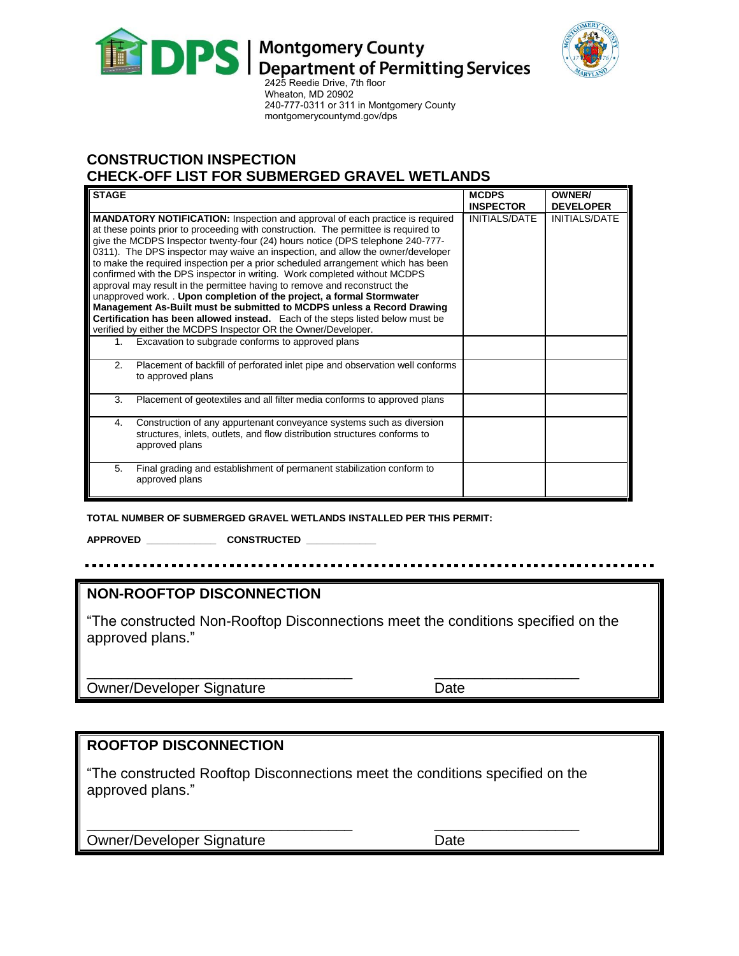



2425 Reedie Drive, 7th floor Wheaton, MD 20902 240-777-0311 or 311 in Montgomery County [montgomerycountymd.gov/dps](http://www.montgomerycountymd.gov/permittingservices) 

# **CONSTRUCTION INSPECTION**

**CHECK-OFF LIST FOR SUBMERGED GRAVEL WETLANDS**

| <b>STAGE</b>                                                                                                                                                                                                                                                                                                                                                                                                                                                                                                                                                                                                                                                                                                                                                                                                                                                                                          | <b>MCDPS</b><br><b>INSPECTOR</b> | <b>OWNER/</b><br><b>DEVELOPER</b> |
|-------------------------------------------------------------------------------------------------------------------------------------------------------------------------------------------------------------------------------------------------------------------------------------------------------------------------------------------------------------------------------------------------------------------------------------------------------------------------------------------------------------------------------------------------------------------------------------------------------------------------------------------------------------------------------------------------------------------------------------------------------------------------------------------------------------------------------------------------------------------------------------------------------|----------------------------------|-----------------------------------|
| <b>MANDATORY NOTIFICATION:</b> Inspection and approval of each practice is required<br>at these points prior to proceeding with construction. The permittee is required to<br>give the MCDPS Inspector twenty-four (24) hours notice (DPS telephone 240-777-<br>0311). The DPS inspector may waive an inspection, and allow the owner/developer<br>to make the required inspection per a prior scheduled arrangement which has been<br>confirmed with the DPS inspector in writing. Work completed without MCDPS<br>approval may result in the permittee having to remove and reconstruct the<br>unapproved work. . Upon completion of the project, a formal Stormwater<br>Management As-Built must be submitted to MCDPS unless a Record Drawing<br>Certification has been allowed instead. Each of the steps listed below must be<br>verified by either the MCDPS Inspector OR the Owner/Developer. | <b>INITIALS/DATE</b>             | <b>INITIALS/DATE</b>              |
| Excavation to subgrade conforms to approved plans<br>1.                                                                                                                                                                                                                                                                                                                                                                                                                                                                                                                                                                                                                                                                                                                                                                                                                                               |                                  |                                   |
| 2.<br>Placement of backfill of perforated inlet pipe and observation well conforms<br>to approved plans                                                                                                                                                                                                                                                                                                                                                                                                                                                                                                                                                                                                                                                                                                                                                                                               |                                  |                                   |
| 3.<br>Placement of geotextiles and all filter media conforms to approved plans                                                                                                                                                                                                                                                                                                                                                                                                                                                                                                                                                                                                                                                                                                                                                                                                                        |                                  |                                   |
| Construction of any appurtenant conveyance systems such as diversion<br>4.<br>structures, inlets, outlets, and flow distribution structures conforms to<br>approved plans                                                                                                                                                                                                                                                                                                                                                                                                                                                                                                                                                                                                                                                                                                                             |                                  |                                   |
| Final grading and establishment of permanent stabilization conform to<br>5.<br>approved plans                                                                                                                                                                                                                                                                                                                                                                                                                                                                                                                                                                                                                                                                                                                                                                                                         |                                  |                                   |

**TOTAL NUMBER OF SUBMERGED GRAVEL WETLANDS INSTALLED PER THIS PERMIT:** 

**APPROVED \_\_\_\_\_\_\_\_\_\_\_\_\_ CONSTRUCTED \_\_\_\_\_\_\_\_\_\_\_\_\_**

## **NON-ROOFTOP DISCONNECTION**

"The constructed Non-Rooftop Disconnections meet the conditions specified on the approved plans."

Owner/Developer Signature **Date** Date

# **ROOFTOP DISCONNECTION**

"The constructed Rooftop Disconnections meet the conditions specified on the approved plans."

\_\_\_\_\_\_\_\_\_\_\_\_\_\_\_\_\_\_\_\_\_\_\_\_\_\_\_\_\_\_\_\_\_ \_\_\_\_\_\_\_\_\_\_\_\_\_\_\_\_\_\_

\_\_\_\_\_\_\_\_\_\_\_\_\_\_\_\_\_\_\_\_\_\_\_\_\_\_\_\_\_\_\_\_\_ \_\_\_\_\_\_\_\_\_\_\_\_\_\_\_\_\_\_

Owner/Developer Signature **Date** Date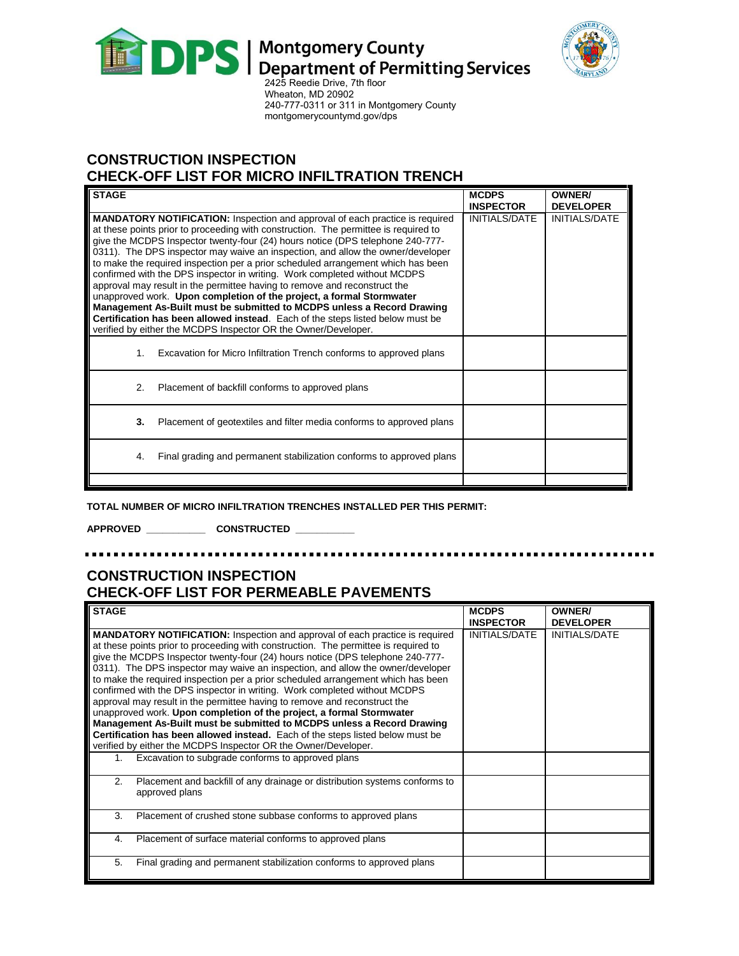



Wheaton, MD 20902 240-777-0311 or 311 in Montgomery County [montgomerycountymd.gov/dps](http://www.montgomerycountymd.gov/permittingservices) 

# **CONSTRUCTION INSPECTION**

**CHECK-OFF LIST FOR MICRO INFILTRATION TRENCH**

| <b>STAGE</b>   |                                                                                                                                                                                                                                                                                                                                                                                                                                                                                                                                                                                                                                                                                                                                                                                                                                                                                                     | <b>MCDPS</b><br><b>INSPECTOR</b> | <b>OWNER/</b><br><b>DEVELOPER</b> |
|----------------|-----------------------------------------------------------------------------------------------------------------------------------------------------------------------------------------------------------------------------------------------------------------------------------------------------------------------------------------------------------------------------------------------------------------------------------------------------------------------------------------------------------------------------------------------------------------------------------------------------------------------------------------------------------------------------------------------------------------------------------------------------------------------------------------------------------------------------------------------------------------------------------------------------|----------------------------------|-----------------------------------|
|                | <b>MANDATORY NOTIFICATION:</b> Inspection and approval of each practice is required<br>at these points prior to proceeding with construction. The permittee is required to<br>give the MCDPS Inspector twenty-four (24) hours notice (DPS telephone 240-777-<br>0311). The DPS inspector may waive an inspection, and allow the owner/developer<br>to make the required inspection per a prior scheduled arrangement which has been<br>confirmed with the DPS inspector in writing. Work completed without MCDPS<br>approval may result in the permittee having to remove and reconstruct the<br>unapproved work. Upon completion of the project, a formal Stormwater<br>Management As-Built must be submitted to MCDPS unless a Record Drawing<br>Certification has been allowed instead. Each of the steps listed below must be<br>verified by either the MCDPS Inspector OR the Owner/Developer. | <b>INITIALS/DATE</b>             | INITIALS/DATE                     |
| 1 <sub>1</sub> | Excavation for Micro Infiltration Trench conforms to approved plans                                                                                                                                                                                                                                                                                                                                                                                                                                                                                                                                                                                                                                                                                                                                                                                                                                 |                                  |                                   |
| 2.             | Placement of backfill conforms to approved plans                                                                                                                                                                                                                                                                                                                                                                                                                                                                                                                                                                                                                                                                                                                                                                                                                                                    |                                  |                                   |
| 3.             | Placement of geotextiles and filter media conforms to approved plans                                                                                                                                                                                                                                                                                                                                                                                                                                                                                                                                                                                                                                                                                                                                                                                                                                |                                  |                                   |
| 4.             | Final grading and permanent stabilization conforms to approved plans                                                                                                                                                                                                                                                                                                                                                                                                                                                                                                                                                                                                                                                                                                                                                                                                                                |                                  |                                   |
|                |                                                                                                                                                                                                                                                                                                                                                                                                                                                                                                                                                                                                                                                                                                                                                                                                                                                                                                     |                                  |                                   |

**TOTAL NUMBER OF MICRO INFILTRATION TRENCHES INSTALLED PER THIS PERMIT:**

**APPROVED \_\_\_\_\_\_\_\_\_\_\_ CONSTRUCTED \_\_\_\_\_\_\_\_\_\_\_**

# **CONSTRUCTION INSPECTION CHECK-OFF LIST FOR PERMEABLE PAVEMENTS**

| <b>STAGE</b>                                                                                                                                                                                                                                                                                                                                                                                                                                                                                                                                                                                                                                                                                                                                                                                                                                                                                        | <b>MCDPS</b><br><b>INSPECTOR</b> | <b>OWNER/</b><br><b>DEVELOPER</b> |
|-----------------------------------------------------------------------------------------------------------------------------------------------------------------------------------------------------------------------------------------------------------------------------------------------------------------------------------------------------------------------------------------------------------------------------------------------------------------------------------------------------------------------------------------------------------------------------------------------------------------------------------------------------------------------------------------------------------------------------------------------------------------------------------------------------------------------------------------------------------------------------------------------------|----------------------------------|-----------------------------------|
| <b>MANDATORY NOTIFICATION:</b> Inspection and approval of each practice is required<br>at these points prior to proceeding with construction. The permittee is required to<br>give the MCDPS Inspector twenty-four (24) hours notice (DPS telephone 240-777-<br>0311). The DPS inspector may waive an inspection, and allow the owner/developer<br>to make the required inspection per a prior scheduled arrangement which has been<br>confirmed with the DPS inspector in writing. Work completed without MCDPS<br>approval may result in the permittee having to remove and reconstruct the<br>unapproved work. Upon completion of the project, a formal Stormwater<br>Management As-Built must be submitted to MCDPS unless a Record Drawing<br>Certification has been allowed instead. Each of the steps listed below must be<br>verified by either the MCDPS Inspector OR the Owner/Developer. | <b>INITIALS/DATE</b>             | <b>INITIALS/DATE</b>              |
| Excavation to subgrade conforms to approved plans<br>1.                                                                                                                                                                                                                                                                                                                                                                                                                                                                                                                                                                                                                                                                                                                                                                                                                                             |                                  |                                   |
| 2.<br>Placement and backfill of any drainage or distribution systems conforms to<br>approved plans                                                                                                                                                                                                                                                                                                                                                                                                                                                                                                                                                                                                                                                                                                                                                                                                  |                                  |                                   |
| 3.<br>Placement of crushed stone subbase conforms to approved plans                                                                                                                                                                                                                                                                                                                                                                                                                                                                                                                                                                                                                                                                                                                                                                                                                                 |                                  |                                   |
| Placement of surface material conforms to approved plans<br>4.                                                                                                                                                                                                                                                                                                                                                                                                                                                                                                                                                                                                                                                                                                                                                                                                                                      |                                  |                                   |
| 5.<br>Final grading and permanent stabilization conforms to approved plans                                                                                                                                                                                                                                                                                                                                                                                                                                                                                                                                                                                                                                                                                                                                                                                                                          |                                  |                                   |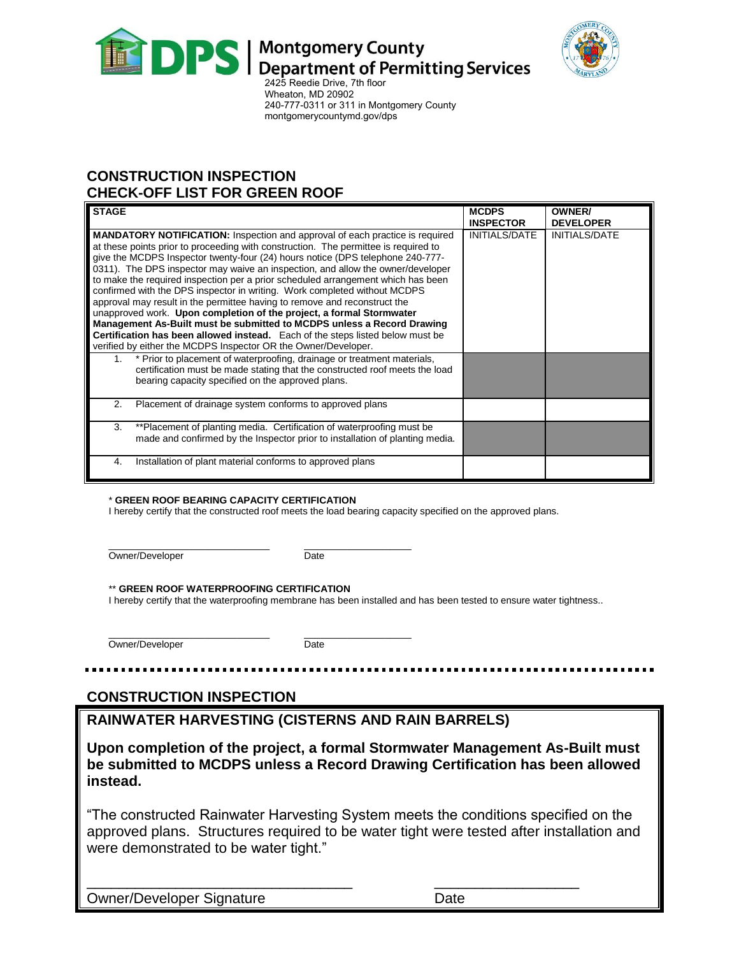



2425 Reedie Drive, 7th floor Wheaton, MD 20902 240-777-0311 or 311 in Montgomery County [montgomerycountymd.gov/dps](http://www.montgomerycountymd.gov/permittingservices) 

# **CONSTRUCTION INSPECTION CHECK-OFF LIST FOR GREEN ROOF**

| <b>STAGE</b>                                                                                                                                                                                                                                                                                                                                                                                                                                                                                                                                                                                                                                                                                                                                    | <b>MCDPS</b><br><b>INSPECTOR</b> | <b>OWNER/</b><br><b>DEVELOPER</b> |
|-------------------------------------------------------------------------------------------------------------------------------------------------------------------------------------------------------------------------------------------------------------------------------------------------------------------------------------------------------------------------------------------------------------------------------------------------------------------------------------------------------------------------------------------------------------------------------------------------------------------------------------------------------------------------------------------------------------------------------------------------|----------------------------------|-----------------------------------|
| <b>MANDATORY NOTIFICATION:</b> Inspection and approval of each practice is required<br>at these points prior to proceeding with construction. The permittee is required to<br>give the MCDPS Inspector twenty-four (24) hours notice (DPS telephone 240-777-<br>0311). The DPS inspector may waive an inspection, and allow the owner/developer<br>to make the required inspection per a prior scheduled arrangement which has been<br>confirmed with the DPS inspector in writing. Work completed without MCDPS<br>approval may result in the permittee having to remove and reconstruct the<br>unapproved work. Upon completion of the project, a formal Stormwater<br>Management As-Built must be submitted to MCDPS unless a Record Drawing | INITIALS/DATE                    | <b>INITIALS/DATE</b>              |
| Certification has been allowed instead. Each of the steps listed below must be<br>verified by either the MCDPS Inspector OR the Owner/Developer.                                                                                                                                                                                                                                                                                                                                                                                                                                                                                                                                                                                                |                                  |                                   |
| * Prior to placement of waterproofing, drainage or treatment materials,<br>1.<br>certification must be made stating that the constructed roof meets the load<br>bearing capacity specified on the approved plans.                                                                                                                                                                                                                                                                                                                                                                                                                                                                                                                               |                                  |                                   |
| Placement of drainage system conforms to approved plans<br>2.                                                                                                                                                                                                                                                                                                                                                                                                                                                                                                                                                                                                                                                                                   |                                  |                                   |
| **Placement of planting media. Certification of waterproofing must be<br>3.<br>made and confirmed by the Inspector prior to installation of planting media.                                                                                                                                                                                                                                                                                                                                                                                                                                                                                                                                                                                     |                                  |                                   |
| Installation of plant material conforms to approved plans<br>4.                                                                                                                                                                                                                                                                                                                                                                                                                                                                                                                                                                                                                                                                                 |                                  |                                   |

#### \* **GREEN ROOF BEARING CAPACITY CERTIFICATION**

I hereby certify that the constructed roof meets the load bearing capacity specified on the approved plans.

\_\_\_\_\_\_\_\_\_\_\_\_\_\_\_\_\_\_\_\_\_\_\_\_\_\_\_\_\_\_ \_\_\_\_\_\_\_\_\_\_\_\_\_\_\_\_\_\_\_\_ Owner/Developer Date

#### \*\* **GREEN ROOF WATERPROOFING CERTIFICATION**

I hereby certify that the waterproofing membrane has been installed and has been tested to ensure water tightness..

Owner/Developer Date

\_\_\_\_\_\_\_\_\_\_\_\_\_\_\_\_\_\_\_\_\_\_\_\_\_\_\_\_\_\_ \_\_\_\_\_\_\_\_\_\_\_\_\_\_\_\_\_\_\_\_

# **CONSTRUCTION INSPECTION**

**RAINWATER HARVESTING (CISTERNS AND RAIN BARRELS)**

**Upon completion of the project, a formal Stormwater Management As-Built must be submitted to MCDPS unless a Record Drawing Certification has been allowed instead.**

"The constructed Rainwater Harvesting System meets the conditions specified on the approved plans. Structures required to be water tight were tested after installation and were demonstrated to be water tight."

\_\_\_\_\_\_\_\_\_\_\_\_\_\_\_\_\_\_\_\_\_\_\_\_\_\_\_\_\_\_\_\_\_ \_\_\_\_\_\_\_\_\_\_\_\_\_\_\_\_\_\_

Owner/Developer Signature **Date** Date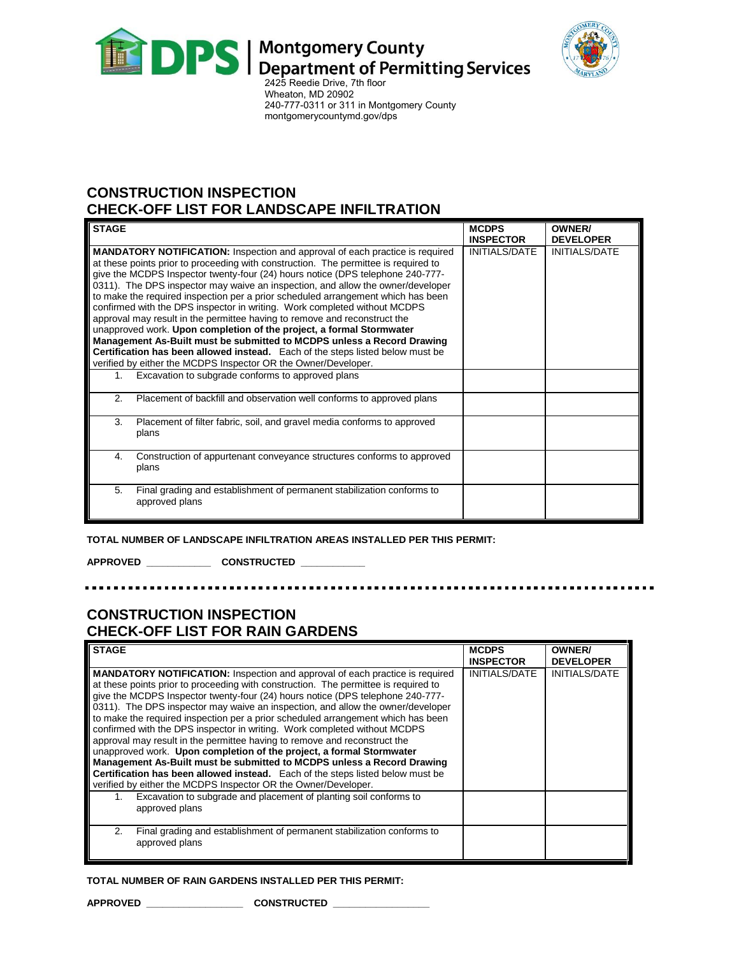



Wheaton, MD 20902 240-777-0311 or 311 in Montgomery County [montgomerycountymd.gov/dps](http://www.montgomerycountymd.gov/permittingservices) 

# **CONSTRUCTION INSPECTION CHECK-OFF LIST FOR LANDSCAPE INFILTRATION**

| <b>STAGE</b>                                                                                                                                                                                                                                                                                                                                                                                                                                                                                                                                                                                                                                                                                                                                                                                                                                                                                        | <b>MCDPS</b><br><b>INSPECTOR</b> | OWNER/<br><b>DEVELOPER</b> |
|-----------------------------------------------------------------------------------------------------------------------------------------------------------------------------------------------------------------------------------------------------------------------------------------------------------------------------------------------------------------------------------------------------------------------------------------------------------------------------------------------------------------------------------------------------------------------------------------------------------------------------------------------------------------------------------------------------------------------------------------------------------------------------------------------------------------------------------------------------------------------------------------------------|----------------------------------|----------------------------|
| <b>MANDATORY NOTIFICATION:</b> Inspection and approval of each practice is required<br>at these points prior to proceeding with construction. The permittee is required to<br>give the MCDPS Inspector twenty-four (24) hours notice (DPS telephone 240-777-<br>0311). The DPS inspector may waive an inspection, and allow the owner/developer<br>to make the required inspection per a prior scheduled arrangement which has been<br>confirmed with the DPS inspector in writing. Work completed without MCDPS<br>approval may result in the permittee having to remove and reconstruct the<br>unapproved work. Upon completion of the project, a formal Stormwater<br>Management As-Built must be submitted to MCDPS unless a Record Drawing<br>Certification has been allowed instead. Each of the steps listed below must be<br>verified by either the MCDPS Inspector OR the Owner/Developer. | INITIALS/DATE                    | <b>INITIALS/DATE</b>       |
| Excavation to subgrade conforms to approved plans<br>1.                                                                                                                                                                                                                                                                                                                                                                                                                                                                                                                                                                                                                                                                                                                                                                                                                                             |                                  |                            |
| 2.<br>Placement of backfill and observation well conforms to approved plans                                                                                                                                                                                                                                                                                                                                                                                                                                                                                                                                                                                                                                                                                                                                                                                                                         |                                  |                            |
| Placement of filter fabric, soil, and gravel media conforms to approved<br>3.<br>plans                                                                                                                                                                                                                                                                                                                                                                                                                                                                                                                                                                                                                                                                                                                                                                                                              |                                  |                            |
| Construction of appurtenant conveyance structures conforms to approved<br>4.<br>plans                                                                                                                                                                                                                                                                                                                                                                                                                                                                                                                                                                                                                                                                                                                                                                                                               |                                  |                            |
| 5.<br>Final grading and establishment of permanent stabilization conforms to<br>approved plans                                                                                                                                                                                                                                                                                                                                                                                                                                                                                                                                                                                                                                                                                                                                                                                                      |                                  |                            |

**TOTAL NUMBER OF LANDSCAPE INFILTRATION AREAS INSTALLED PER THIS PERMIT:** 

**APPROVED \_\_\_\_\_\_\_\_\_\_\_\_ CONSTRUCTED \_\_\_\_\_\_\_\_\_\_\_\_**

# **CONSTRUCTION INSPECTION CHECK-OFF LIST FOR RAIN GARDENS**

| <b>STAGE</b>                                                                                                                                                                                                                                                                                                                                                                                                                                                                                                                                                                                                                                                                                                                                                                                                                                                                                        | <b>MCDPS</b><br><b>INSPECTOR</b> | <b>OWNER/</b><br><b>DEVELOPER</b> |
|-----------------------------------------------------------------------------------------------------------------------------------------------------------------------------------------------------------------------------------------------------------------------------------------------------------------------------------------------------------------------------------------------------------------------------------------------------------------------------------------------------------------------------------------------------------------------------------------------------------------------------------------------------------------------------------------------------------------------------------------------------------------------------------------------------------------------------------------------------------------------------------------------------|----------------------------------|-----------------------------------|
| <b>MANDATORY NOTIFICATION:</b> Inspection and approval of each practice is required<br>at these points prior to proceeding with construction. The permittee is required to<br>give the MCDPS Inspector twenty-four (24) hours notice (DPS telephone 240-777-<br>0311). The DPS inspector may waive an inspection, and allow the owner/developer<br>to make the required inspection per a prior scheduled arrangement which has been<br>confirmed with the DPS inspector in writing. Work completed without MCDPS<br>approval may result in the permittee having to remove and reconstruct the<br>unapproved work. Upon completion of the project, a formal Stormwater<br>Management As-Built must be submitted to MCDPS unless a Record Drawing<br>Certification has been allowed instead. Each of the steps listed below must be<br>verified by either the MCDPS Inspector OR the Owner/Developer. | INITIALS/DATE                    | <b>INITIALS/DATE</b>              |
| Excavation to subgrade and placement of planting soil conforms to<br>1.<br>approved plans                                                                                                                                                                                                                                                                                                                                                                                                                                                                                                                                                                                                                                                                                                                                                                                                           |                                  |                                   |
| Final grading and establishment of permanent stabilization conforms to<br>2.<br>approved plans                                                                                                                                                                                                                                                                                                                                                                                                                                                                                                                                                                                                                                                                                                                                                                                                      |                                  |                                   |

#### **TOTAL NUMBER OF RAIN GARDENS INSTALLED PER THIS PERMIT:**

**APPROVED \_\_\_\_\_\_\_\_\_\_\_\_\_\_\_\_\_\_ CONSTRUCTED \_\_\_\_\_\_\_\_\_\_\_\_\_\_\_\_\_\_**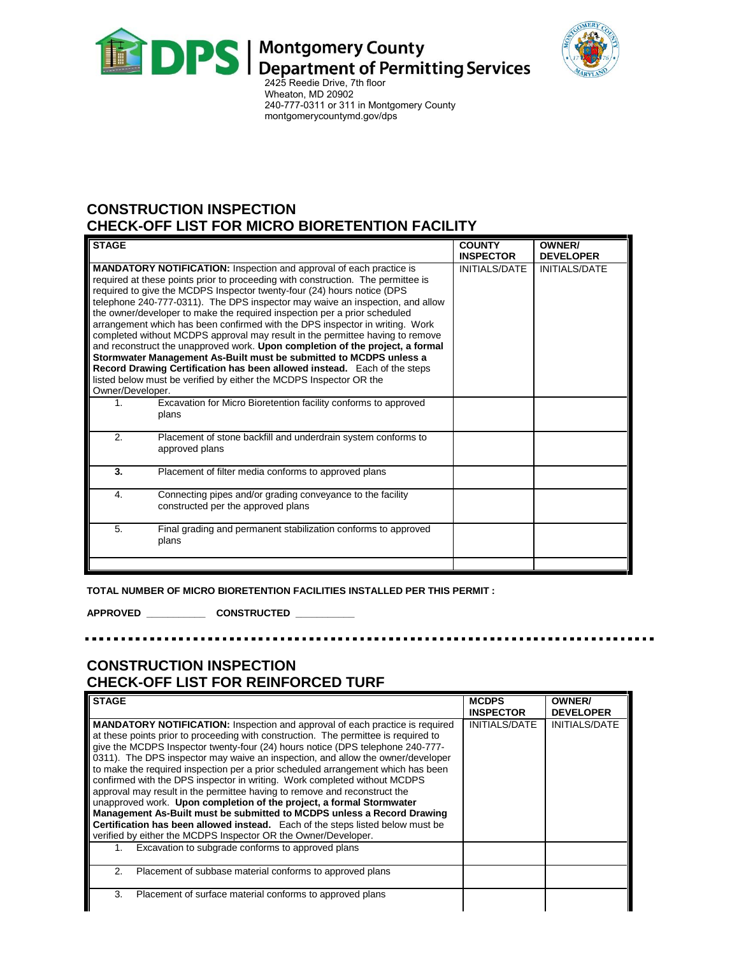



Wheaton, MD 20902 240-777-0311 or 311 in Montgomery County [montgomerycountymd.gov/dps](http://www.montgomerycountymd.gov/permittingservices) 

## **CONSTRUCTION INSPECTION CHECK-OFF LIST FOR MICRO BIORETENTION FACILITY**

| <b>STAGE</b>     |                                                                                                                                                                                                                                                                                                                                                                                                                                                                                                                                                                                                                                                                                                                                                                                                                                                                                   | <b>COUNTY</b><br><b>INSPECTOR</b> | OWNER/<br><b>DEVELOPER</b> |
|------------------|-----------------------------------------------------------------------------------------------------------------------------------------------------------------------------------------------------------------------------------------------------------------------------------------------------------------------------------------------------------------------------------------------------------------------------------------------------------------------------------------------------------------------------------------------------------------------------------------------------------------------------------------------------------------------------------------------------------------------------------------------------------------------------------------------------------------------------------------------------------------------------------|-----------------------------------|----------------------------|
| Owner/Developer. | <b>MANDATORY NOTIFICATION:</b> Inspection and approval of each practice is<br>required at these points prior to proceeding with construction. The permittee is<br>required to give the MCDPS Inspector twenty-four (24) hours notice (DPS<br>telephone 240-777-0311). The DPS inspector may waive an inspection, and allow<br>the owner/developer to make the required inspection per a prior scheduled<br>arrangement which has been confirmed with the DPS inspector in writing. Work<br>completed without MCDPS approval may result in the permittee having to remove<br>and reconstruct the unapproved work. Upon completion of the project, a formal<br>Stormwater Management As-Built must be submitted to MCDPS unless a<br>Record Drawing Certification has been allowed instead. Each of the steps<br>listed below must be verified by either the MCDPS Inspector OR the | INITIALS/DATE                     | <b>INITIALS/DATE</b>       |
| 1.               | Excavation for Micro Bioretention facility conforms to approved<br>plans                                                                                                                                                                                                                                                                                                                                                                                                                                                                                                                                                                                                                                                                                                                                                                                                          |                                   |                            |
| 2.               | Placement of stone backfill and underdrain system conforms to<br>approved plans                                                                                                                                                                                                                                                                                                                                                                                                                                                                                                                                                                                                                                                                                                                                                                                                   |                                   |                            |
| 3.               | Placement of filter media conforms to approved plans                                                                                                                                                                                                                                                                                                                                                                                                                                                                                                                                                                                                                                                                                                                                                                                                                              |                                   |                            |
| 4.               | Connecting pipes and/or grading conveyance to the facility<br>constructed per the approved plans                                                                                                                                                                                                                                                                                                                                                                                                                                                                                                                                                                                                                                                                                                                                                                                  |                                   |                            |
| 5.               | Final grading and permanent stabilization conforms to approved<br>plans                                                                                                                                                                                                                                                                                                                                                                                                                                                                                                                                                                                                                                                                                                                                                                                                           |                                   |                            |

**TOTAL NUMBER OF MICRO BIORETENTION FACILITIES INSTALLED PER THIS PERMIT :**

**APPROVED \_\_\_\_\_\_\_\_\_\_\_ CONSTRUCTED \_\_\_\_\_\_\_\_\_\_\_**

## **CONSTRUCTION INSPECTION CHECK-OFF LIST FOR REINFORCED TURF**

| <b>STAGE</b>                                                                                                                                                                                                                                                                                                                                                                                                                                                                                                                                                                                                                                                                                                                                                                                                                      | <b>MCDPS</b>         | <b>OWNER/</b>        |
|-----------------------------------------------------------------------------------------------------------------------------------------------------------------------------------------------------------------------------------------------------------------------------------------------------------------------------------------------------------------------------------------------------------------------------------------------------------------------------------------------------------------------------------------------------------------------------------------------------------------------------------------------------------------------------------------------------------------------------------------------------------------------------------------------------------------------------------|----------------------|----------------------|
|                                                                                                                                                                                                                                                                                                                                                                                                                                                                                                                                                                                                                                                                                                                                                                                                                                   | <b>INSPECTOR</b>     | <b>DEVELOPER</b>     |
| <b>MANDATORY NOTIFICATION:</b> Inspection and approval of each practice is required<br>at these points prior to proceeding with construction. The permittee is required to<br>give the MCDPS Inspector twenty-four (24) hours notice (DPS telephone 240-777-<br>0311). The DPS inspector may waive an inspection, and allow the owner/developer<br>to make the required inspection per a prior scheduled arrangement which has been<br>confirmed with the DPS inspector in writing. Work completed without MCDPS<br>approval may result in the permittee having to remove and reconstruct the<br>unapproved work. Upon completion of the project, a formal Stormwater<br>Management As-Built must be submitted to MCDPS unless a Record Drawing<br>Certification has been allowed instead. Each of the steps listed below must be | <b>INITIALS/DATE</b> | <b>INITIALS/DATE</b> |
| verified by either the MCDPS Inspector OR the Owner/Developer.                                                                                                                                                                                                                                                                                                                                                                                                                                                                                                                                                                                                                                                                                                                                                                    |                      |                      |
| Excavation to subgrade conforms to approved plans                                                                                                                                                                                                                                                                                                                                                                                                                                                                                                                                                                                                                                                                                                                                                                                 |                      |                      |
| 2.<br>Placement of subbase material conforms to approved plans                                                                                                                                                                                                                                                                                                                                                                                                                                                                                                                                                                                                                                                                                                                                                                    |                      |                      |
| 3.<br>Placement of surface material conforms to approved plans                                                                                                                                                                                                                                                                                                                                                                                                                                                                                                                                                                                                                                                                                                                                                                    |                      |                      |